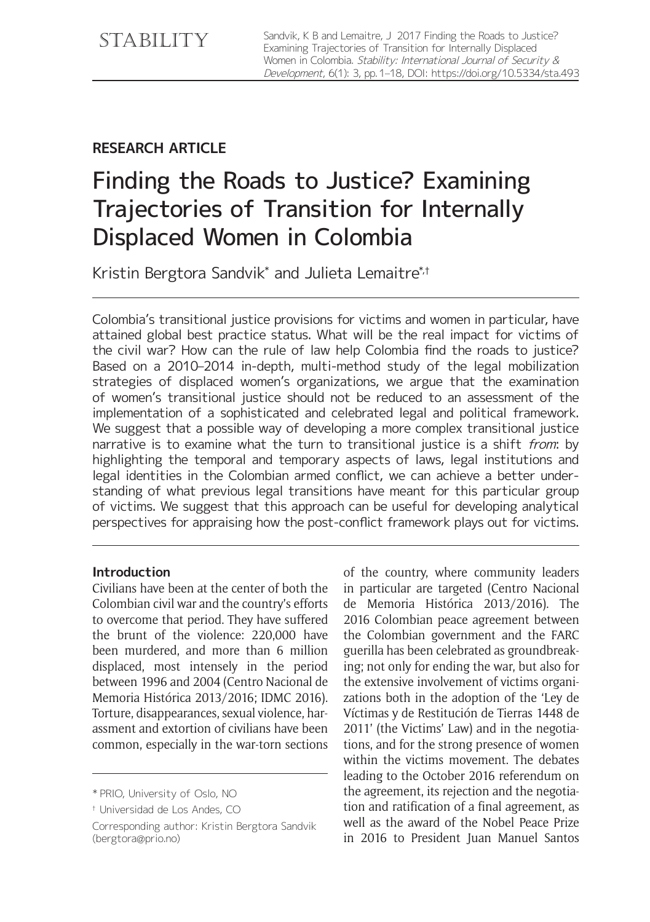# **RESEARCH ARTICLE**

# Finding the Roads to Justice? Examining Trajectories of Transition for Internally Displaced Women in Colombia

Kristin Bergtora Sandvik\* and Julieta Lemaitre\*<sup>;</sup>†

Colombia's transitional justice provisions for victims and women in particular, have attained global best practice status. What will be the real impact for victims of the civil war? How can the rule of law help Colombia find the roads to justice? Based on a 2010–2014 in-depth, multi-method study of the legal mobilization strategies of displaced women's organizations, we argue that the examination of women's transitional justice should not be reduced to an assessment of the implementation of a sophisticated and celebrated legal and political framework. We suggest that a possible way of developing a more complex transitional justice narrative is to examine what the turn to transitional justice is a shift from: by highlighting the temporal and temporary aspects of laws, legal institutions and legal identities in the Colombian armed conflict, we can achieve a better understanding of what previous legal transitions have meant for this particular group of victims. We suggest that this approach can be useful for developing analytical perspectives for appraising how the post-conflict framework plays out for victims.

#### **Introduction**

Civilians have been at the center of both the Colombian civil war and the country's efforts to overcome that period. They have suffered the brunt of the violence: 220,000 have been murdered, and more than 6 million displaced, most intensely in the period between 1996 and 2004 (Centro Nacional de Memoria Histórica 2013/2016; IDMC 2016). Torture, disappearances, sexual violence, harassment and extortion of civilians have been common, especially in the war-torn sections of the country, where community leaders in particular are targeted (Centro Nacional de Memoria Histórica 2013/2016). The 2016 Colombian peace agreement between the Colombian government and the FARC guerilla has been celebrated as groundbreaking; not only for ending the war, but also for the extensive involvement of victims organizations both in the adoption of the 'Ley de Víctimas y de Restitución de Tierras 1448 de 2011' (the Victims' Law) and in the negotiations, and for the strong presence of women within the victims movement. The debates leading to the October 2016 referendum on the agreement, its rejection and the negotiation and ratification of a final agreement, as well as the award of the Nobel Peace Prize in 2016 to President Juan Manuel Santos

<sup>\*</sup> PRIO, University of Oslo, NO

<sup>†</sup> Universidad de Los Andes, CO

Corresponding author: Kristin Bergtora Sandvik ([bergtora@prio.no\)](mailto:bergtora@prio.no)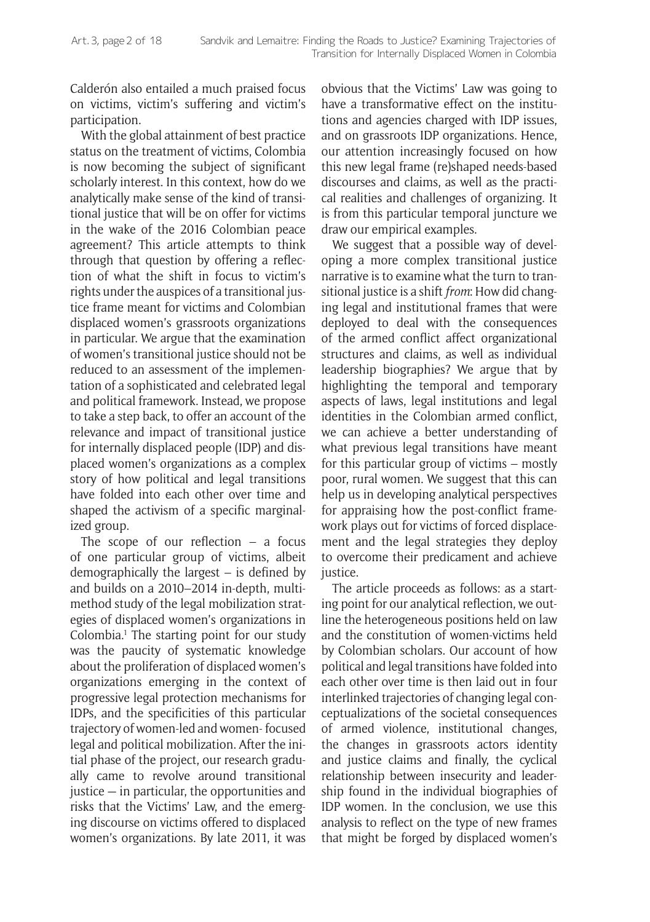Calderón also entailed a much praised focus on victims, victim's suffering and victim's participation.

With the global attainment of best practice status on the treatment of victims, Colombia is now becoming the subject of significant scholarly interest. In this context, how do we analytically make sense of the kind of transitional justice that will be on offer for victims in the wake of the 2016 Colombian peace agreement? This article attempts to think through that question by offering a reflection of what the shift in focus to victim's rights under the auspices of a transitional justice frame meant for victims and Colombian displaced women's grassroots organizations in particular. We argue that the examination of women's transitional justice should not be reduced to an assessment of the implementation of a sophisticated and celebrated legal and political framework. Instead, we propose to take a step back, to offer an account of the relevance and impact of transitional justice for internally displaced people (IDP) and displaced women's organizations as a complex story of how political and legal transitions have folded into each other over time and shaped the activism of a specific marginalized group.

The scope of our reflection  $-$  a focus of one particular group of victims, albeit demographically the largest – is defined by and builds on a 2010–2014 in-depth, multimethod study of the legal mobilization strategies of displaced women's organizations in Colombia.<sup>1</sup> The starting point for our study was the paucity of systematic knowledge about the proliferation of displaced women's organizations emerging in the context of progressive legal protection mechanisms for IDPs, and the specificities of this particular trajectory of women-led and women- focused legal and political mobilization. After the initial phase of the project, our research gradually came to revolve around transitional justice — in particular, the opportunities and risks that the Victims' Law, and the emerging discourse on victims offered to displaced women's organizations. By late 2011, it was

obvious that the Victims' Law was going to have a transformative effect on the institutions and agencies charged with IDP issues, and on grassroots IDP organizations. Hence, our attention increasingly focused on how this new legal frame (re)shaped needs-based discourses and claims, as well as the practical realities and challenges of organizing. It is from this particular temporal juncture we draw our empirical examples.

We suggest that a possible way of developing a more complex transitional justice narrative is to examine what the turn to transitional justice is a shift *from*: How did changing legal and institutional frames that were deployed to deal with the consequences of the armed conflict affect organizational structures and claims, as well as individual leadership biographies? We argue that by highlighting the temporal and temporary aspects of laws, legal institutions and legal identities in the Colombian armed conflict, we can achieve a better understanding of what previous legal transitions have meant for this particular group of victims – mostly poor, rural women. We suggest that this can help us in developing analytical perspectives for appraising how the post-conflict framework plays out for victims of forced displacement and the legal strategies they deploy to overcome their predicament and achieve justice.

The article proceeds as follows: as a starting point for our analytical reflection, we outline the heterogeneous positions held on law and the constitution of women-victims held by Colombian scholars. Our account of how political and legal transitions have folded into each other over time is then laid out in four interlinked trajectories of changing legal conceptualizations of the societal consequences of armed violence, institutional changes, the changes in grassroots actors identity and justice claims and finally, the cyclical relationship between insecurity and leadership found in the individual biographies of IDP women. In the conclusion, we use this analysis to reflect on the type of new frames that might be forged by displaced women's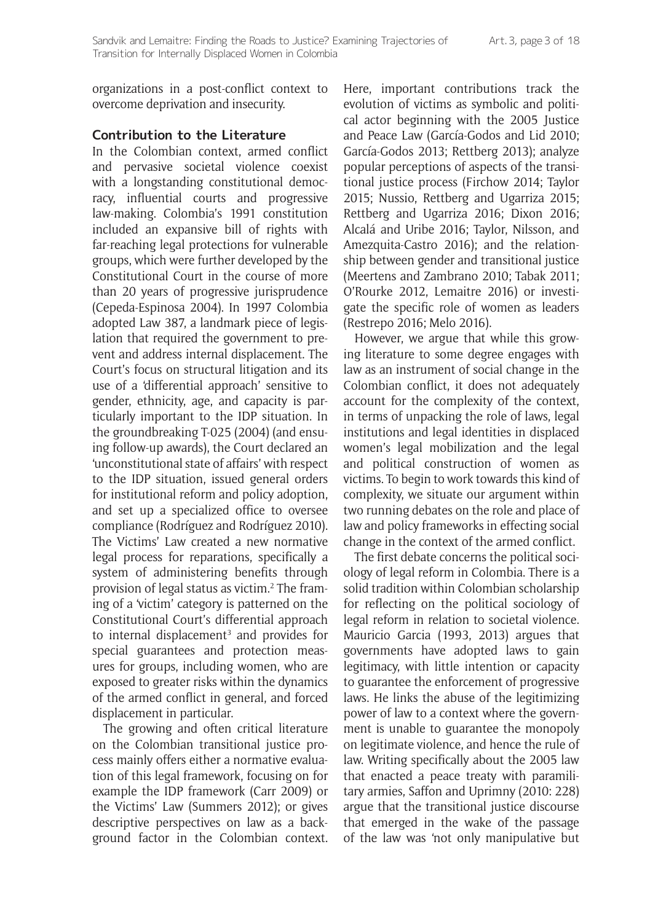organizations in a post-conflict context to overcome deprivation and insecurity.

#### **Contribution to the Literature**

In the Colombian context, armed conflict and pervasive societal violence coexist with a longstanding constitutional democracy, influential courts and progressive law-making. Colombia's 1991 constitution included an expansive bill of rights with far-reaching legal protections for vulnerable groups, which were further developed by the Constitutional Court in the course of more than 20 years of progressive jurisprudence (Cepeda-Espinosa 2004). In 1997 Colombia adopted Law 387, a landmark piece of legislation that required the government to prevent and address internal displacement. The Court's focus on structural litigation and its use of a 'differential approach' sensitive to gender, ethnicity, age, and capacity is particularly important to the IDP situation. In the groundbreaking T-025 (2004) (and ensuing follow-up awards), the Court declared an 'unconstitutional state of affairs' with respect to the IDP situation, issued general orders for institutional reform and policy adoption, and set up a specialized office to oversee compliance (Rodríguez and Rodríguez 2010). The Victims' Law created a new normative legal process for reparations, specifically a system of administering benefits through provision of legal status as victim.2 The framing of a 'victim' category is patterned on the Constitutional Court's differential approach to internal displacement<sup>3</sup> and provides for special guarantees and protection measures for groups, including women, who are exposed to greater risks within the dynamics of the armed conflict in general, and forced displacement in particular.

The growing and often critical literature on the Colombian transitional justice process mainly offers either a normative evaluation of this legal framework, focusing on for example the IDP framework (Carr 2009) or the Victims' Law (Summers 2012); or gives descriptive perspectives on law as a background factor in the Colombian context. Here, important contributions track the evolution of victims as symbolic and political actor beginning with the 2005 Justice and Peace Law (García-Godos and Lid 2010; García-Godos 2013; Rettberg 2013); analyze popular perceptions of aspects of the transitional justice process (Firchow 2014; Taylor 2015; Nussio, Rettberg and Ugarriza 2015; Rettberg and Ugarriza 2016; Dixon 2016; Alcalá and Uribe 2016; Taylor, Nilsson, and Amezquita-Castro 2016); and the relationship between gender and transitional justice (Meertens and Zambrano 2010; Tabak 2011; O'Rourke 2012, Lemaitre 2016) or investigate the specific role of women as leaders (Restrepo 2016; Melo 2016).

However, we argue that while this growing literature to some degree engages with law as an instrument of social change in the Colombian conflict, it does not adequately account for the complexity of the context, in terms of unpacking the role of laws, legal institutions and legal identities in displaced women's legal mobilization and the legal and political construction of women as victims. To begin to work towards this kind of complexity, we situate our argument within two running debates on the role and place of law and policy frameworks in effecting social change in the context of the armed conflict.

The first debate concerns the political sociology of legal reform in Colombia. There is a solid tradition within Colombian scholarship for reflecting on the political sociology of legal reform in relation to societal violence. Mauricio Garcia (1993, 2013) argues that governments have adopted laws to gain legitimacy, with little intention or capacity to guarantee the enforcement of progressive laws. He links the abuse of the legitimizing power of law to a context where the government is unable to guarantee the monopoly on legitimate violence, and hence the rule of law. Writing specifically about the 2005 law that enacted a peace treaty with paramilitary armies, Saffon and Uprimny (2010: 228) argue that the transitional justice discourse that emerged in the wake of the passage of the law was 'not only manipulative but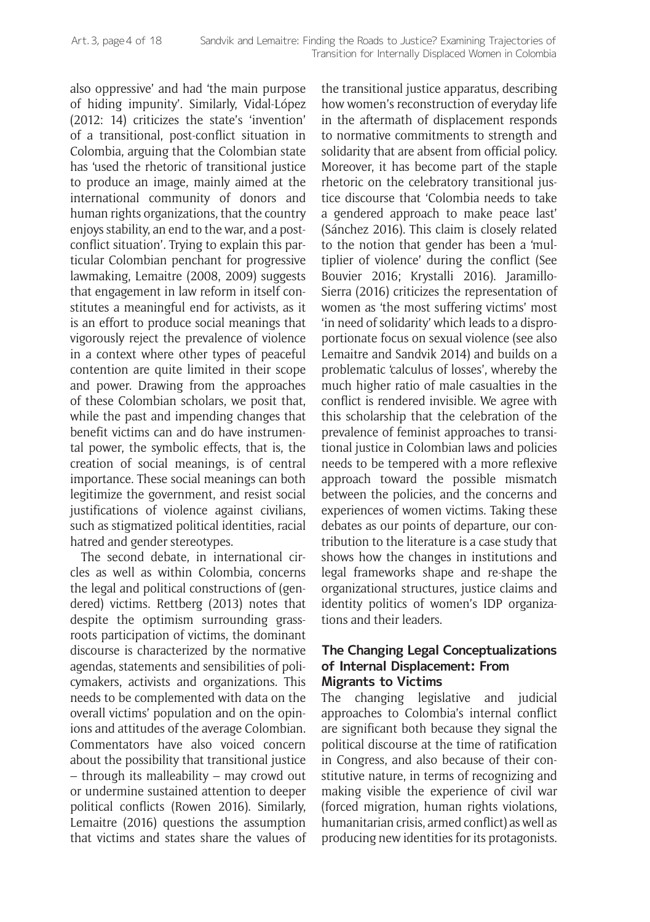also oppressive' and had 'the main purpose of hiding impunity'. Similarly, Vidal-López (2012: 14) criticizes the state's 'invention' of a transitional, post-conflict situation in Colombia, arguing that the Colombian state has 'used the rhetoric of transitional justice to produce an image, mainly aimed at the international community of donors and human rights organizations, that the country enjoys stability, an end to the war, and a postconflict situation'. Trying to explain this particular Colombian penchant for progressive lawmaking, Lemaitre (2008, 2009) suggests that engagement in law reform in itself constitutes a meaningful end for activists, as it is an effort to produce social meanings that vigorously reject the prevalence of violence in a context where other types of peaceful contention are quite limited in their scope and power. Drawing from the approaches of these Colombian scholars, we posit that, while the past and impending changes that benefit victims can and do have instrumental power, the symbolic effects, that is, the creation of social meanings, is of central importance. These social meanings can both legitimize the government, and resist social justifications of violence against civilians, such as stigmatized political identities, racial hatred and gender stereotypes.

The second debate, in international circles as well as within Colombia, concerns the legal and political constructions of (gendered) victims. Rettberg (2013) notes that despite the optimism surrounding grassroots participation of victims, the dominant discourse is characterized by the normative agendas, statements and sensibilities of policymakers, activists and organizations. This needs to be complemented with data on the overall victims' population and on the opinions and attitudes of the average Colombian. Commentators have also voiced concern about the possibility that transitional justice – through its malleability – may crowd out or undermine sustained attention to deeper political conflicts (Rowen 2016). Similarly, Lemaitre (2016) questions the assumption that victims and states share the values of the transitional justice apparatus, describing how women's reconstruction of everyday life in the aftermath of displacement responds to normative commitments to strength and solidarity that are absent from official policy. Moreover, it has become part of the staple rhetoric on the celebratory transitional justice discourse that 'Colombia needs to take a gendered approach to make peace last' (Sánchez 2016). This claim is closely related to the notion that gender has been a 'multiplier of violence' during the conflict (See Bouvier 2016; Krystalli 2016). Jaramillo-Sierra (2016) criticizes the representation of women as 'the most suffering victims' most 'in need of solidarity' which leads to a disproportionate focus on sexual violence (see also Lemaitre and Sandvik 2014) and builds on a problematic 'calculus of losses', whereby the much higher ratio of male casualties in the conflict is rendered invisible. We agree with this scholarship that the celebration of the prevalence of feminist approaches to transitional justice in Colombian laws and policies needs to be tempered with a more reflexive approach toward the possible mismatch between the policies, and the concerns and experiences of women victims. Taking these debates as our points of departure, our contribution to the literature is a case study that shows how the changes in institutions and legal frameworks shape and re-shape the organizational structures, justice claims and identity politics of women's IDP organizations and their leaders.

#### **The Changing Legal Conceptualizations of Internal Displacement: From Migrants to Victims**

The changing legislative and judicial approaches to Colombia's internal conflict are significant both because they signal the political discourse at the time of ratification in Congress, and also because of their constitutive nature, in terms of recognizing and making visible the experience of civil war (forced migration, human rights violations, humanitarian crisis, armed conflict) as well as producing new identities for its protagonists.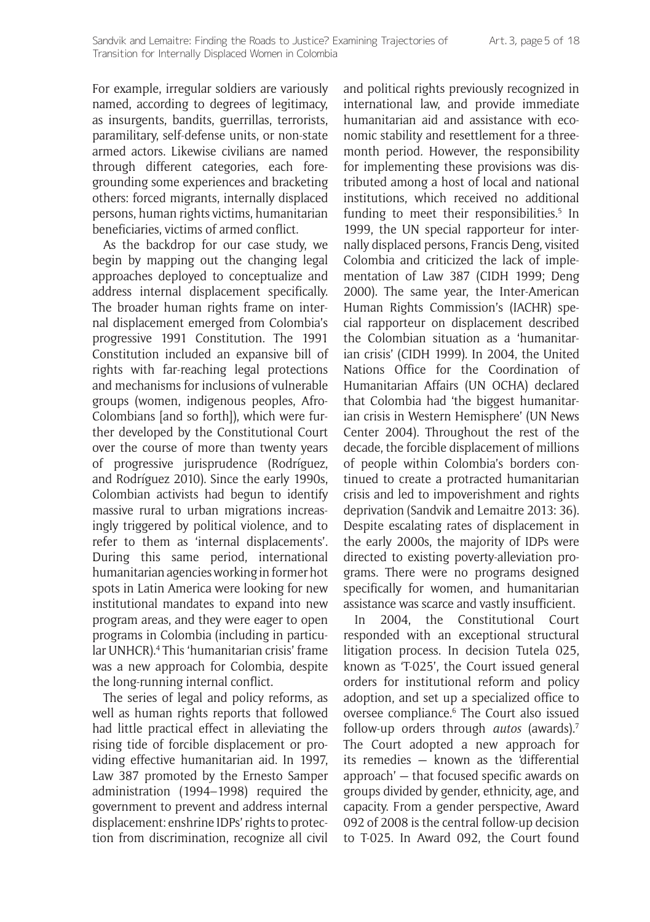For example, irregular soldiers are variously named, according to degrees of legitimacy, as insurgents, bandits, guerrillas, terrorists, paramilitary, self-defense units, or non-state armed actors. Likewise civilians are named through different categories, each foregrounding some experiences and bracketing others: forced migrants, internally displaced persons, human rights victims, humanitarian beneficiaries, victims of armed conflict.

As the backdrop for our case study, we begin by mapping out the changing legal approaches deployed to conceptualize and address internal displacement specifically. The broader human rights frame on internal displacement emerged from Colombia's progressive 1991 Constitution. The 1991 Constitution included an expansive bill of rights with far-reaching legal protections and mechanisms for inclusions of vulnerable groups (women, indigenous peoples, Afro-Colombians [and so forth]), which were further developed by the Constitutional Court over the course of more than twenty years of progressive jurisprudence (Rodríguez, and Rodríguez 2010). Since the early 1990s, Colombian activists had begun to identify massive rural to urban migrations increasingly triggered by political violence, and to refer to them as 'internal displacements'. During this same period, international humanitarian agencies working in former hot spots in Latin America were looking for new institutional mandates to expand into new program areas, and they were eager to open programs in Colombia (including in particular UNHCR).4 This 'humanitarian crisis' frame was a new approach for Colombia, despite the long-running internal conflict.

The series of legal and policy reforms, as well as human rights reports that followed had little practical effect in alleviating the rising tide of forcible displacement or providing effective humanitarian aid. In 1997, Law 387 promoted by the Ernesto Samper administration (1994–1998) required the government to prevent and address internal displacement: enshrine IDPs' rights to protection from discrimination, recognize all civil

and political rights previously recognized in international law, and provide immediate humanitarian aid and assistance with economic stability and resettlement for a threemonth period*.* However, the responsibility for implementing these provisions was distributed among a host of local and national institutions, which received no additional funding to meet their responsibilities.<sup>5</sup> In 1999, the UN special rapporteur for internally displaced persons, Francis Deng, visited Colombia and criticized the lack of implementation of Law 387 (CIDH 1999; Deng 2000). The same year, the Inter-American Human Rights Commission's (IACHR) special rapporteur on displacement described the Colombian situation as a 'humanitarian crisis' (CIDH 1999). In 2004, the United Nations Office for the Coordination of Humanitarian Affairs (UN OCHA) declared that Colombia had 'the biggest humanitarian crisis in Western Hemisphere' (UN News Center 2004). Throughout the rest of the decade, the forcible displacement of millions of people within Colombia's borders continued to create a protracted humanitarian crisis and led to impoverishment and rights deprivation (Sandvik and Lemaitre 2013: 36). Despite escalating rates of displacement in the early 2000s, the majority of IDPs were directed to existing poverty-alleviation programs. There were no programs designed specifically for women, and humanitarian assistance was scarce and vastly insufficient.

In 2004, the Constitutional Court responded with an exceptional structural litigation process. In decision Tutela 025, known as 'T-025', the Court issued general orders for institutional reform and policy adoption, and set up a specialized office to oversee compliance.<sup>6</sup> The Court also issued follow-up orders through *autos* (awards).7 The Court adopted a new approach for its remedies — known as the 'differential approach' — that focused specific awards on groups divided by gender, ethnicity, age, and capacity. From a gender perspective, Award 092 of 2008 is the central follow-up decision to T-025. In Award 092, the Court found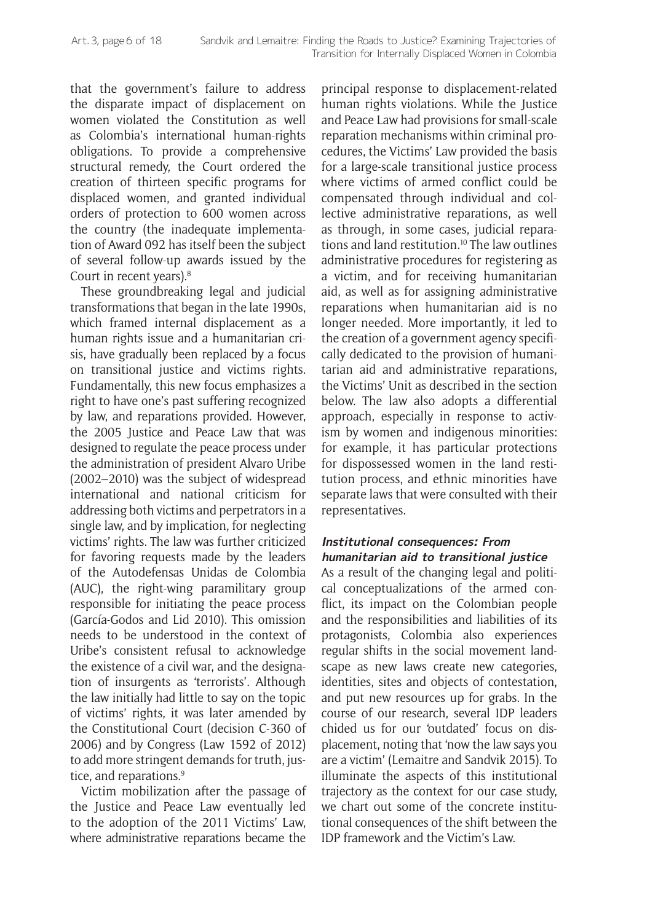that the government's failure to address the disparate impact of displacement on women violated the Constitution as well as Colombia's international human-rights obligations. To provide a comprehensive structural remedy, the Court ordered the creation of thirteen specific programs for displaced women, and granted individual orders of protection to 600 women across the country (the inadequate implementation of Award 092 has itself been the subject of several follow-up awards issued by the Court in recent years).8

These groundbreaking legal and judicial transformations that began in the late 1990s, which framed internal displacement as a human rights issue and a humanitarian crisis, have gradually been replaced by a focus on transitional justice and victims rights. Fundamentally, this new focus emphasizes a right to have one's past suffering recognized by law, and reparations provided. However, the 2005 Justice and Peace Law that was designed to regulate the peace process under the administration of president Alvaro Uribe (2002–2010) was the subject of widespread international and national criticism for addressing both victims and perpetrators in a single law, and by implication, for neglecting victims' rights. The law was further criticized for favoring requests made by the leaders of the Autodefensas Unidas de Colombia (AUC), the right-wing paramilitary group responsible for initiating the peace process (García-Godos and Lid 2010). This omission needs to be understood in the context of Uribe's consistent refusal to acknowledge the existence of a civil war, and the designation of insurgents as 'terrorists'. Although the law initially had little to say on the topic of victims' rights, it was later amended by the Constitutional Court (decision C-360 of 2006) and by Congress (Law 1592 of 2012) to add more stringent demands for truth, justice, and reparations.<sup>9</sup>

Victim mobilization after the passage of the Justice and Peace Law eventually led to the adoption of the 2011 Victims' Law, where administrative reparations became the principal response to displacement-related human rights violations. While the Justice and Peace Law had provisions for small-scale reparation mechanisms within criminal procedures, the Victims' Law provided the basis for a large-scale transitional justice process where victims of armed conflict could be compensated through individual and collective administrative reparations, as well as through, in some cases, judicial reparations and land restitution.10 The law outlines administrative procedures for registering as a victim, and for receiving humanitarian aid, as well as for assigning administrative reparations when humanitarian aid is no longer needed. More importantly, it led to the creation of a government agency specifically dedicated to the provision of humanitarian aid and administrative reparations, the Victims' Unit as described in the section below. The law also adopts a differential approach, especially in response to activism by women and indigenous minorities: for example, it has particular protections for dispossessed women in the land restitution process, and ethnic minorities have separate laws that were consulted with their representatives.

#### **Institutional consequences: From humanitarian aid to transitional justice**

As a result of the changing legal and political conceptualizations of the armed conflict, its impact on the Colombian people and the responsibilities and liabilities of its protagonists, Colombia also experiences regular shifts in the social movement landscape as new laws create new categories, identities, sites and objects of contestation, and put new resources up for grabs. In the course of our research, several IDP leaders chided us for our 'outdated' focus on displacement, noting that 'now the law says you are a victim' (Lemaitre and Sandvik 2015). To illuminate the aspects of this institutional trajectory as the context for our case study, we chart out some of the concrete institutional consequences of the shift between the IDP framework and the Victim's Law.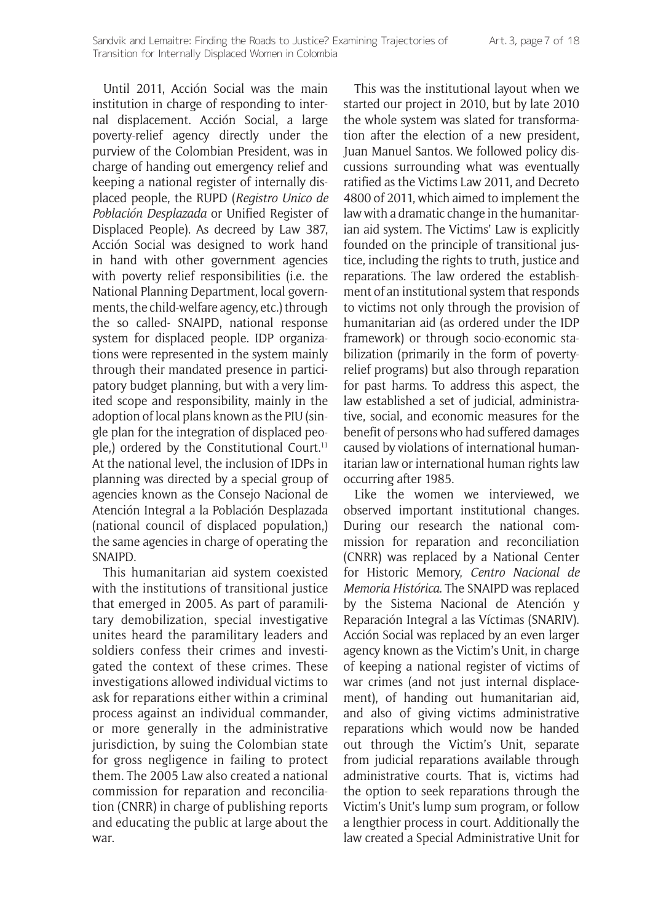Until 2011, Acción Social was the main institution in charge of responding to internal displacement. Acción Social, a large poverty-relief agency directly under the purview of the Colombian President, was in charge of handing out emergency relief and keeping a national register of internally displaced people, the RUPD (*Registro Unico de Población Desplazada* or Unified Register of Displaced People). As decreed by Law 387, Acción Social was designed to work hand in hand with other government agencies with poverty relief responsibilities (i.e. the National Planning Department, local governments, the child-welfare agency, etc.) through the so called- SNAIPD, national response system for displaced people. IDP organizations were represented in the system mainly through their mandated presence in participatory budget planning, but with a very limited scope and responsibility, mainly in the adoption of local plans known as the PIU (single plan for the integration of displaced people.) ordered by the Constitutional Court.<sup>11</sup> At the national level, the inclusion of IDPs in planning was directed by a special group of agencies known as the Consejo Nacional de Atención Integral a la Población Desplazada (national council of displaced population,) the same agencies in charge of operating the SNAIPD.

This humanitarian aid system coexisted with the institutions of transitional justice that emerged in 2005. As part of paramilitary demobilization, special investigative unites heard the paramilitary leaders and soldiers confess their crimes and investigated the context of these crimes. These investigations allowed individual victims to ask for reparations either within a criminal process against an individual commander, or more generally in the administrative jurisdiction, by suing the Colombian state for gross negligence in failing to protect them. The 2005 Law also created a national commission for reparation and reconciliation (CNRR) in charge of publishing reports and educating the public at large about the war.

This was the institutional layout when we started our project in 2010, but by late 2010 the whole system was slated for transformation after the election of a new president, Juan Manuel Santos. We followed policy discussions surrounding what was eventually ratified as the Victims Law 2011, and Decreto 4800 of 2011, which aimed to implement the law with a dramatic change in the humanitarian aid system. The Victims' Law is explicitly founded on the principle of transitional justice, including the rights to truth, justice and reparations. The law ordered the establishment of an institutional system that responds to victims not only through the provision of humanitarian aid (as ordered under the IDP framework) or through socio-economic stabilization (primarily in the form of povertyrelief programs) but also through reparation for past harms. To address this aspect, the law established a set of judicial, administrative, social, and economic measures for the benefit of persons who had suffered damages caused by violations of international humanitarian law or international human rights law occurring after 1985.

Like the women we interviewed, we observed important institutional changes. During our research the national commission for reparation and reconciliation (CNRR) was replaced by a National Center for Historic Memory, *Centro Nacional de Memoria Histórica*. The SNAIPD was replaced by the Sistema Nacional de Atención y Reparación Integral a las Víctimas (SNARIV). Acción Social was replaced by an even larger agency known as the Victim's Unit, in charge of keeping a national register of victims of war crimes (and not just internal displacement), of handing out humanitarian aid, and also of giving victims administrative reparations which would now be handed out through the Victim's Unit, separate from judicial reparations available through administrative courts. That is, victims had the option to seek reparations through the Victim's Unit's lump sum program, or follow a lengthier process in court. Additionally the law created a Special Administrative Unit for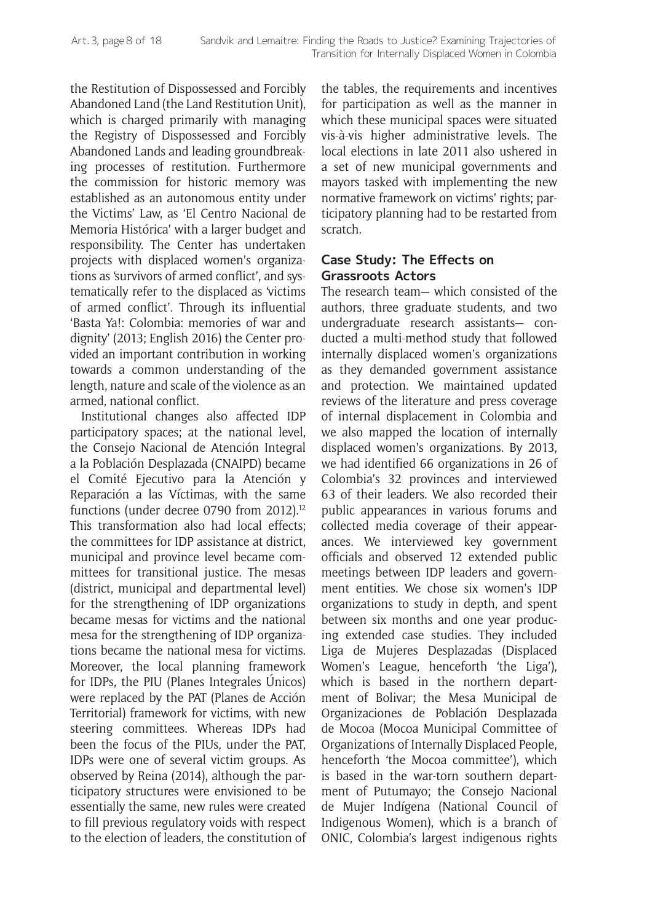the Restitution of Dispossessed and Forcibly Abandoned Land (the Land Restitution Unit), which is charged primarily with managing the Registry of Dispossessed and Forcibly Abandoned Lands and leading groundbreaking processes of restitution. Furthermore the commission for historic memory was established as an autonomous entity under the Victims' Law, as 'El Centro Nacional de Memoria Histórica' with a larger budget and responsibility. The Center has undertaken projects with displaced women's organizations as 'survivors of armed conflict', and systematically refer to the displaced as 'victims of armed conflict'. Through its influential 'Basta Ya!: Colombia: memories of war and dignity' (2013; English 2016) the Center provided an important contribution in working towards a common understanding of the length, nature and scale of the violence as an armed, national conflict.

Institutional changes also affected IDP participatory spaces; at the national level, the Consejo Nacional de Atención Integral a la Población Desplazada (CNAIPD) became el Comité Ejecutivo para la Atención y Reparación a las Víctimas, with the same functions (under decree 0790 from 2012).<sup>12</sup> This transformation also had local effects; the committees for IDP assistance at district, municipal and province level became committees for transitional justice. The mesas (district, municipal and departmental level) for the strengthening of IDP organizations became mesas for victims and the national mesa for the strengthening of IDP organizations became the national mesa for victims. Moreover, the local planning framework for IDPs, the PIU (Planes Integrales Únicos) were replaced by the PAT (Planes de Acción Territorial) framework for victims, with new steering committees. Whereas IDPs had been the focus of the PIUs, under the PAT, IDPs were one of several victim groups. As observed by Reina (2014), although the participatory structures were envisioned to be essentially the same, new rules were created to fill previous regulatory voids with respect to the election of leaders, the constitution of the tables, the requirements and incentives for participation as well as the manner in which these municipal spaces were situated vis-à-vis higher administrative levels. The local elections in late 2011 also ushered in a set of new municipal governments and mayors tasked with implementing the new normative framework on victims' rights; participatory planning had to be restarted from scratch.

#### **Case Study: The Effects on Grassroots Actors**

The research team— which consisted of the authors, three graduate students, and two undergraduate research assistants— conducted a multi-method study that followed internally displaced women's organizations as they demanded government assistance and protection. We maintained updated reviews of the literature and press coverage of internal displacement in Colombia and we also mapped the location of internally displaced women's organizations. By 2013, we had identified 66 organizations in 26 of Colombia's 32 provinces and interviewed 63 of their leaders. We also recorded their public appearances in various forums and collected media coverage of their appearances. We interviewed key government officials and observed 12 extended public meetings between IDP leaders and government entities. We chose six women's IDP organizations to study in depth, and spent between six months and one year producing extended case studies. They included Liga de Mujeres Desplazadas (Displaced Women's League, henceforth 'the Liga'), which is based in the northern department of Bolivar; the Mesa Municipal de Organizaciones de Población Desplazada de Mocoa (Mocoa Municipal Committee of Organizations of Internally Displaced People, henceforth 'the Mocoa committee'), which is based in the war-torn southern department of Putumayo; the Consejo Nacional de Mujer Indígena (National Council of Indigenous Women), which is a branch of ONIC, Colombia's largest indigenous rights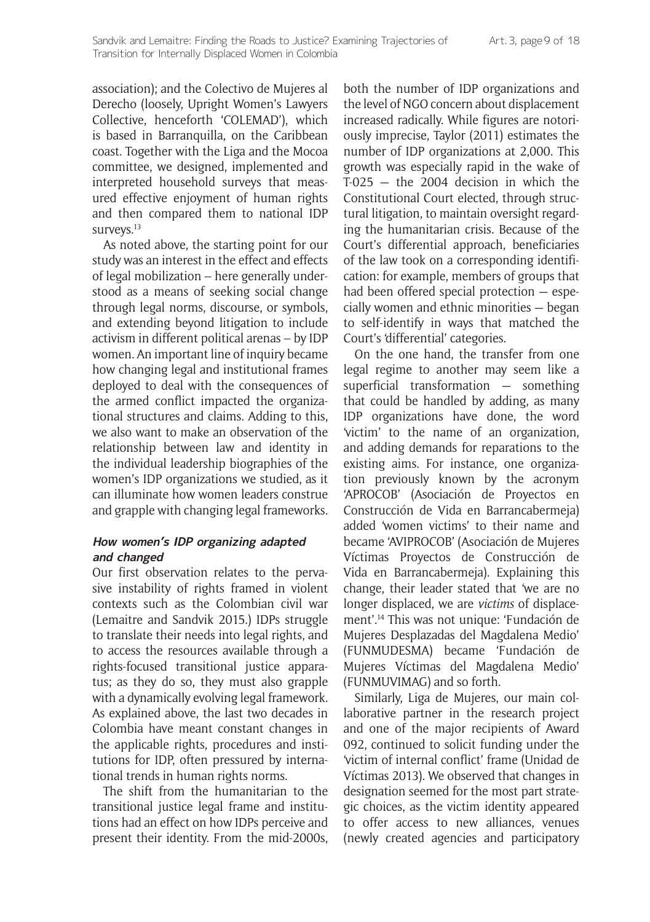association); and the Colectivo de Mujeres al Derecho (loosely, Upright Women's Lawyers Collective, henceforth 'COLEMAD'), which is based in Barranquilla, on the Caribbean coast. Together with the Liga and the Mocoa committee, we designed, implemented and interpreted household surveys that measured effective enjoyment of human rights and then compared them to national IDP surveys.<sup>13</sup>

As noted above, the starting point for our study was an interest in the effect and effects of legal mobilization – here generally understood as a means of seeking social change through legal norms, discourse, or symbols, and extending beyond litigation to include activism in different political arenas – by IDP women. An important line of inquiry became how changing legal and institutional frames deployed to deal with the consequences of the armed conflict impacted the organizational structures and claims. Adding to this, we also want to make an observation of the relationship between law and identity in the individual leadership biographies of the women's IDP organizations we studied, as it can illuminate how women leaders construe and grapple with changing legal frameworks.

#### **How women's IDP organizing adapted and changed**

Our first observation relates to the pervasive instability of rights framed in violent contexts such as the Colombian civil war (Lemaitre and Sandvik 2015.) IDPs struggle to translate their needs into legal rights, and to access the resources available through a rights-focused transitional justice apparatus; as they do so, they must also grapple with a dynamically evolving legal framework. As explained above, the last two decades in Colombia have meant constant changes in the applicable rights, procedures and institutions for IDP, often pressured by international trends in human rights norms.

The shift from the humanitarian to the transitional justice legal frame and institutions had an effect on how IDPs perceive and present their identity. From the mid-2000s,

both the number of IDP organizations and the level of NGO concern about displacement increased radically. While figures are notoriously imprecise, Taylor (2011) estimates the number of IDP organizations at 2,000. This growth was especially rapid in the wake of T-025 — the 2004 decision in which the Constitutional Court elected, through structural litigation, to maintain oversight regarding the humanitarian crisis. Because of the Court's differential approach, beneficiaries of the law took on a corresponding identification: for example, members of groups that had been offered special protection — especially women and ethnic minorities — began to self-identify in ways that matched the Court's 'differential' categories.

On the one hand, the transfer from one legal regime to another may seem like a superficial transformation — something that could be handled by adding, as many IDP organizations have done, the word 'victim' to the name of an organization, and adding demands for reparations to the existing aims. For instance, one organization previously known by the acronym 'APROCOB' (Asociación de Proyectos en Construcción de Vida en Barrancabermeja) added 'women victims' to their name and became 'AVIPROCOB' (Asociación de Mujeres Víctimas Proyectos de Construcción de Vida en Barrancabermeja). Explaining this change, their leader stated that 'we are no longer displaced, we are *victims* of displacement'.14 This was not unique: 'Fundación de Mujeres Desplazadas del Magdalena Medio' (FUNMUDESMA) became 'Fundación de Mujeres Víctimas del Magdalena Medio' (FUNMUVIMAG) and so forth.

Similarly, Liga de Mujeres, our main collaborative partner in the research project and one of the major recipients of Award 092, continued to solicit funding under the 'victim of internal conflict' frame (Unidad de Víctimas 2013). We observed that changes in designation seemed for the most part strategic choices, as the victim identity appeared to offer access to new alliances, venues (newly created agencies and participatory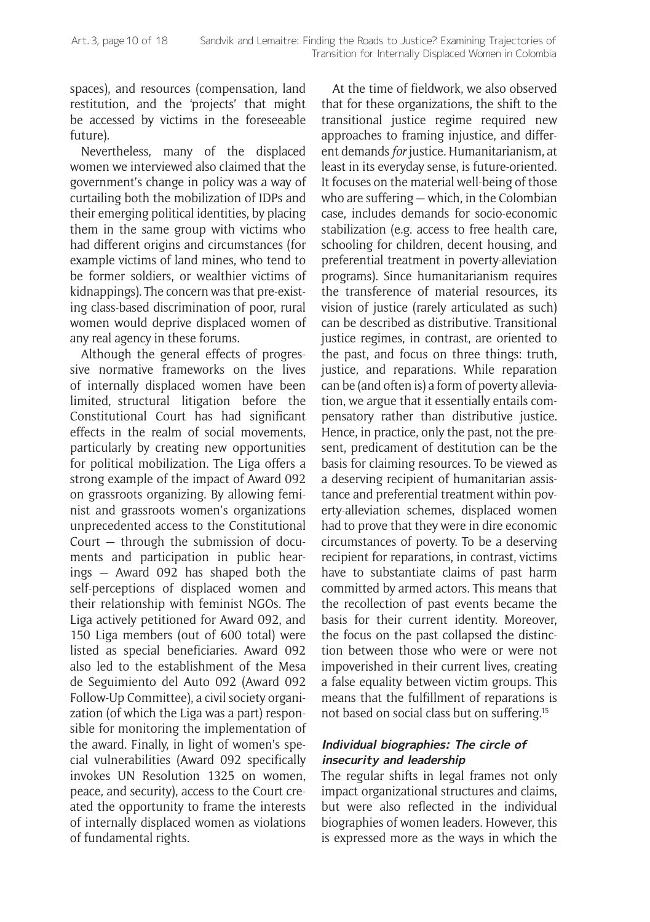spaces), and resources (compensation, land restitution, and the 'projects' that might be accessed by victims in the foreseeable future).

Nevertheless, many of the displaced women we interviewed also claimed that the government's change in policy was a way of curtailing both the mobilization of IDPs and their emerging political identities, by placing them in the same group with victims who had different origins and circumstances (for example victims of land mines, who tend to be former soldiers, or wealthier victims of kidnappings). The concern was that pre-existing class-based discrimination of poor, rural women would deprive displaced women of any real agency in these forums.

Although the general effects of progressive normative frameworks on the lives of internally displaced women have been limited, structural litigation before the Constitutional Court has had significant effects in the realm of social movements, particularly by creating new opportunities for political mobilization. The Liga offers a strong example of the impact of Award 092 on grassroots organizing. By allowing feminist and grassroots women's organizations unprecedented access to the Constitutional Court — through the submission of documents and participation in public hearings — Award 092 has shaped both the self-perceptions of displaced women and their relationship with feminist NGOs. The Liga actively petitioned for Award 092, and 150 Liga members (out of 600 total) were listed as special beneficiaries. Award 092 also led to the establishment of the Mesa de Seguimiento del Auto 092 (Award 092 Follow-Up Committee), a civil society organization (of which the Liga was a part) responsible for monitoring the implementation of the award. Finally, in light of women's special vulnerabilities (Award 092 specifically invokes UN Resolution 1325 on women, peace, and security), access to the Court created the opportunity to frame the interests of internally displaced women as violations of fundamental rights.

At the time of fieldwork, we also observed that for these organizations, the shift to the transitional justice regime required new approaches to framing injustice, and different demands *for* justice. Humanitarianism, at least in its everyday sense, is future-oriented. It focuses on the material well-being of those who are suffering — which, in the Colombian case, includes demands for socio-economic stabilization (e.g. access to free health care, schooling for children, decent housing, and preferential treatment in poverty-alleviation programs). Since humanitarianism requires the transference of material resources, its vision of justice (rarely articulated as such) can be described as distributive. Transitional justice regimes, in contrast, are oriented to the past, and focus on three things: truth, justice, and reparations. While reparation can be (and often is) a form of poverty alleviation, we argue that it essentially entails compensatory rather than distributive justice. Hence, in practice, only the past, not the present, predicament of destitution can be the basis for claiming resources. To be viewed as a deserving recipient of humanitarian assistance and preferential treatment within poverty-alleviation schemes, displaced women had to prove that they were in dire economic circumstances of poverty. To be a deserving recipient for reparations, in contrast, victims have to substantiate claims of past harm committed by armed actors. This means that the recollection of past events became the basis for their current identity. Moreover, the focus on the past collapsed the distinction between those who were or were not impoverished in their current lives, creating a false equality between victim groups. This means that the fulfillment of reparations is not based on social class but on suffering.15

## **Individual biographies: The circle of insecurity and leadership**

The regular shifts in legal frames not only impact organizational structures and claims, but were also reflected in the individual biographies of women leaders. However, this is expressed more as the ways in which the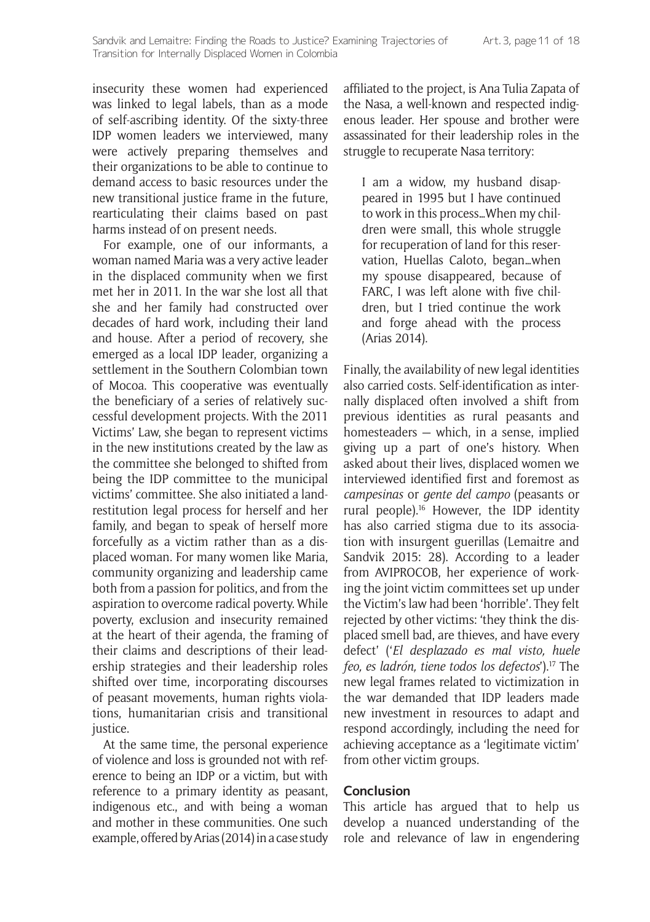insecurity these women had experienced was linked to legal labels, than as a mode of self-ascribing identity. Of the sixty-three IDP women leaders we interviewed, many were actively preparing themselves and their organizations to be able to continue to demand access to basic resources under the new transitional justice frame in the future, rearticulating their claims based on past harms instead of on present needs.

For example, one of our informants, a woman named Maria was a very active leader in the displaced community when we first met her in 2011. In the war she lost all that she and her family had constructed over decades of hard work, including their land and house. After a period of recovery, she emerged as a local IDP leader, organizing a settlement in the Southern Colombian town of Mocoa. This cooperative was eventually the beneficiary of a series of relatively successful development projects. With the 2011 Victims' Law, she began to represent victims in the new institutions created by the law as the committee she belonged to shifted from being the IDP committee to the municipal victims' committee. She also initiated a landrestitution legal process for herself and her family, and began to speak of herself more forcefully as a victim rather than as a displaced woman. For many women like Maria, community organizing and leadership came both from a passion for politics, and from the aspiration to overcome radical poverty. While poverty, exclusion and insecurity remained at the heart of their agenda, the framing of their claims and descriptions of their leadership strategies and their leadership roles shifted over time, incorporating discourses of peasant movements, human rights violations, humanitarian crisis and transitional justice.

At the same time, the personal experience of violence and loss is grounded not with reference to being an IDP or a victim, but with reference to a primary identity as peasant, indigenous etc., and with being a woman and mother in these communities. One such example, offered by Arias (2014) in a case study affiliated to the project, is Ana Tulia Zapata of the Nasa, a well-known and respected indigenous leader. Her spouse and brother were assassinated for their leadership roles in the struggle to recuperate Nasa territory:

I am a widow, my husband disappeared in 1995 but I have continued to work in this process…When my children were small, this whole struggle for recuperation of land for this reservation, Huellas Caloto, began…when my spouse disappeared, because of FARC, I was left alone with five children, but I tried continue the work and forge ahead with the process (Arias 2014).

Finally, the availability of new legal identities also carried costs. Self-identification as internally displaced often involved a shift from previous identities as rural peasants and homesteaders — which, in a sense, implied giving up a part of one's history. When asked about their lives, displaced women we interviewed identified first and foremost as *campesinas* or *gente del campo* (peasants or rural people).<sup>16</sup> However, the IDP identity has also carried stigma due to its association with insurgent guerillas (Lemaitre and Sandvik 2015: 28). According to a leader from AVIPROCOB, her experience of working the joint victim committees set up under the Victim's law had been 'horrible'. They felt rejected by other victims: 'they think the displaced smell bad, are thieves, and have every defect' ('*El desplazado es mal visto, huele feo, es ladrón, tiene todos los defectos*').17 The new legal frames related to victimization in the war demanded that IDP leaders made new investment in resources to adapt and respond accordingly, including the need for achieving acceptance as a 'legitimate victim' from other victim groups.

#### **Conclusion**

This article has argued that to help us develop a nuanced understanding of the role and relevance of law in engendering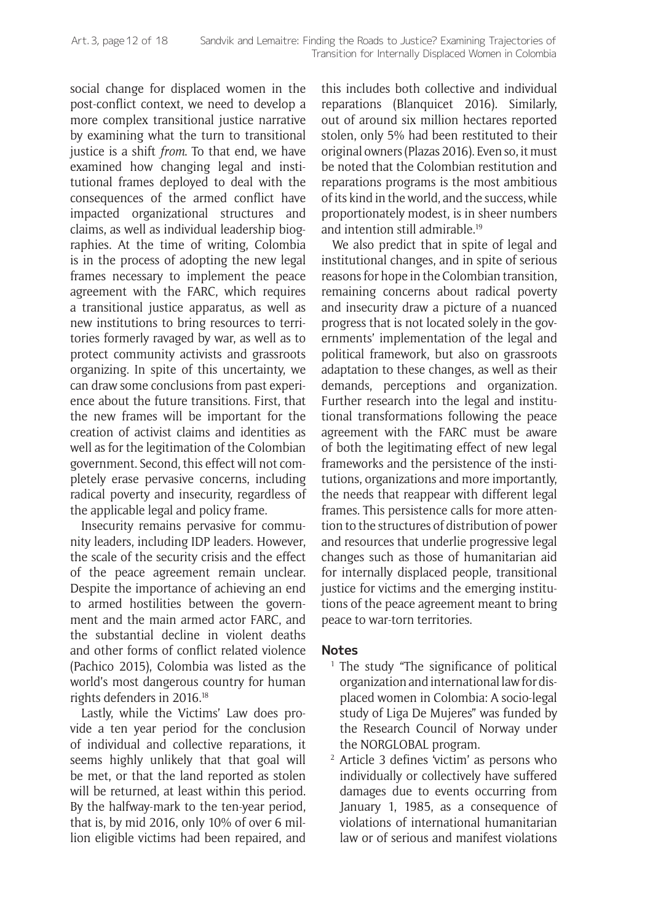social change for displaced women in the post-conflict context, we need to develop a more complex transitional justice narrative by examining what the turn to transitional justice is a shift *from*. To that end, we have examined how changing legal and institutional frames deployed to deal with the consequences of the armed conflict have impacted organizational structures and claims, as well as individual leadership biographies. At the time of writing, Colombia is in the process of adopting the new legal frames necessary to implement the peace agreement with the FARC, which requires a transitional justice apparatus, as well as new institutions to bring resources to territories formerly ravaged by war, as well as to protect community activists and grassroots organizing. In spite of this uncertainty, we can draw some conclusions from past experience about the future transitions. First, that the new frames will be important for the creation of activist claims and identities as well as for the legitimation of the Colombian government. Second, this effect will not completely erase pervasive concerns, including radical poverty and insecurity, regardless of the applicable legal and policy frame.

Insecurity remains pervasive for community leaders, including IDP leaders. However, the scale of the security crisis and the effect of the peace agreement remain unclear. Despite the importance of achieving an end to armed hostilities between the government and the main armed actor FARC, and the substantial decline in violent deaths and other forms of conflict related violence (Pachico 2015), Colombia was listed as the world's most dangerous country for human rights defenders in 2016.18

Lastly, while the Victims' Law does provide a ten year period for the conclusion of individual and collective reparations, it seems highly unlikely that that goal will be met, or that the land reported as stolen will be returned, at least within this period. By the halfway-mark to the ten-year period, that is, by mid 2016, only 10% of over 6 million eligible victims had been repaired, and this includes both collective and individual reparations (Blanquicet 2016). Similarly, out of around six million hectares reported stolen, only 5% had been restituted to their original owners (Plazas 2016). Even so, it must be noted that the Colombian restitution and reparations programs is the most ambitious of its kind in the world, and the success, while proportionately modest, is in sheer numbers and intention still admirable.19

We also predict that in spite of legal and institutional changes, and in spite of serious reasons for hope in the Colombian transition, remaining concerns about radical poverty and insecurity draw a picture of a nuanced progress that is not located solely in the governments' implementation of the legal and political framework, but also on grassroots adaptation to these changes, as well as their demands, perceptions and organization. Further research into the legal and institutional transformations following the peace agreement with the FARC must be aware of both the legitimating effect of new legal frameworks and the persistence of the institutions, organizations and more importantly, the needs that reappear with different legal frames. This persistence calls for more attention to the structures of distribution of power and resources that underlie progressive legal changes such as those of humanitarian aid for internally displaced people, transitional justice for victims and the emerging institutions of the peace agreement meant to bring peace to war-torn territories.

#### **Notes**

- The study "The significance of political organization and international law for displaced women in Colombia: A socio-legal study of Liga De Mujeres" was funded by the Research Council of Norway under the NORGLOBAL program.
- <sup>2</sup> Article 3 defines 'victim' as persons who individually or collectively have suffered damages due to events occurring from January 1, 1985, as a consequence of violations of international humanitarian law or of serious and manifest violations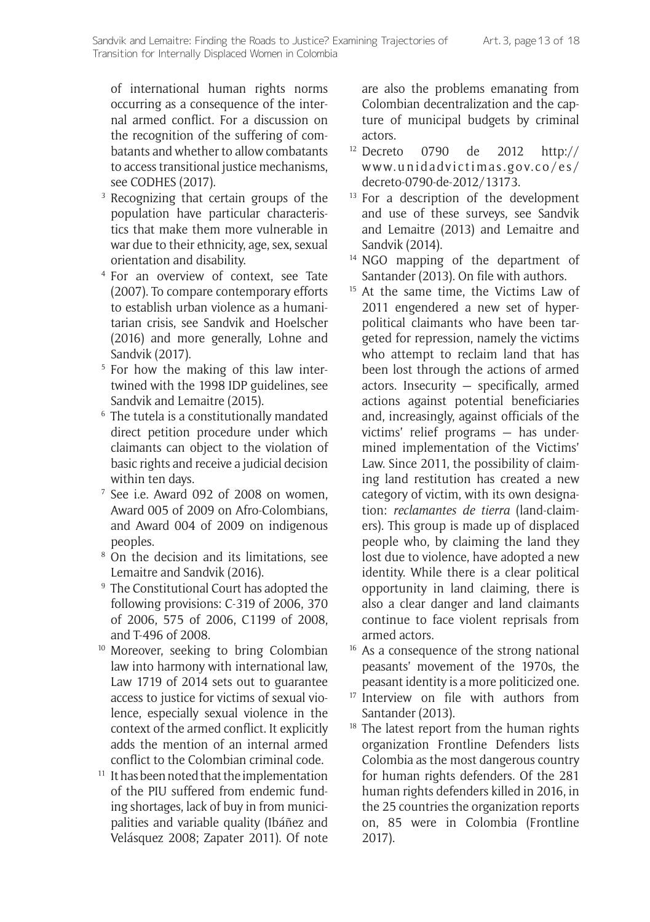of international human rights norms occurring as a consequence of the internal armed conflict. For a discussion on the recognition of the suffering of combatants and whether to allow combatants to access transitional justice mechanisms, see CODHES (2017).

- Recognizing that certain groups of the population have particular characteristics that make them more vulnerable in war due to their ethnicity, age, sex, sexual orientation and disability.
- <sup>4</sup> For an overview of context, see Tate (2007). To compare contemporary efforts to establish urban violence as a humanitarian crisis, see Sandvik and Hoelscher (2016) and more generally, Lohne and Sandvik (2017).
- <sup>5</sup> For how the making of this law intertwined with the 1998 IDP guidelines, see Sandvik and Lemaitre (2015).
- <sup>6</sup> The tutela is a constitutionally mandated direct petition procedure under which claimants can object to the violation of basic rights and receive a judicial decision within ten days.
- <sup>7</sup> See i.e. Award 092 of 2008 on women, Award 005 of 2009 on Afro-Colombians, and Award 004 of 2009 on indigenous peoples.
- <sup>8</sup> On the decision and its limitations, see Lemaitre and Sandvik (2016).
- <sup>9</sup> The Constitutional Court has adopted the following provisions: C-319 of 2006, 370 of 2006, 575 of 2006, C1199 of 2008, and T-496 of 2008.
- <sup>10</sup> Moreover, seeking to bring Colombian law into harmony with international law, Law 1719 of 2014 sets out to guarantee access to justice for victims of sexual violence, especially sexual violence in the context of the armed conflict. It explicitly adds the mention of an internal armed conflict to the Colombian criminal code.<br>It has been noted that the implementation
- of the PIU suffered from endemic funding shortages, lack of buy in from municipalities and variable quality (Ibáñez and Velásquez 2008; Zapater 2011). Of note

are also the problems emanating from Colombian decentralization and the capture of municipal budgets by criminal

- actors. 12 Decreto 0790 de 2012 [http://](http://www.unidadvictimas.gov.co/es/decreto-0790-de-2012/13173) [www.unidadvictimas.gov.co/es/](http://www.unidadvictimas.gov.co/es/decreto-0790-de-2012/13173) [decreto-0790-de-2012/13173.](http://www.unidadvictimas.gov.co/es/decreto-0790-de-2012/13173)
- <sup>13</sup> For a description of the development and use of these surveys, see Sandvik and Lemaitre (2013) and Lemaitre and Sandvik (2014).
- <sup>14</sup> NGO mapping of the department of Santander (2013). On file with authors.
- <sup>15</sup> At the same time, the Victims Law of 2011 engendered a new set of hyperpolitical claimants who have been targeted for repression, namely the victims who attempt to reclaim land that has been lost through the actions of armed actors. Insecurity — specifically, armed actions against potential beneficiaries and, increasingly, against officials of the victims' relief programs — has undermined implementation of the Victims' Law. Since 2011, the possibility of claiming land restitution has created a new category of victim, with its own designation: *reclamantes de tierra* (land-claimers). This group is made up of displaced people who, by claiming the land they lost due to violence, have adopted a new identity. While there is a clear political opportunity in land claiming, there is also a clear danger and land claimants continue to face violent reprisals from armed actors.
- <sup>16</sup> As a consequence of the strong national peasants' movement of the 1970s, the peasant identity is a more politicized one.
- <sup>17</sup> Interview on file with authors from Santander (2013).
- <sup>18</sup> The latest report from the human rights organization Frontline Defenders lists Colombia as the most dangerous country for human rights defenders. Of the 281 human rights defenders killed in 2016, in the 25 countries the organization reports on, 85 were in Colombia (Frontline 2017).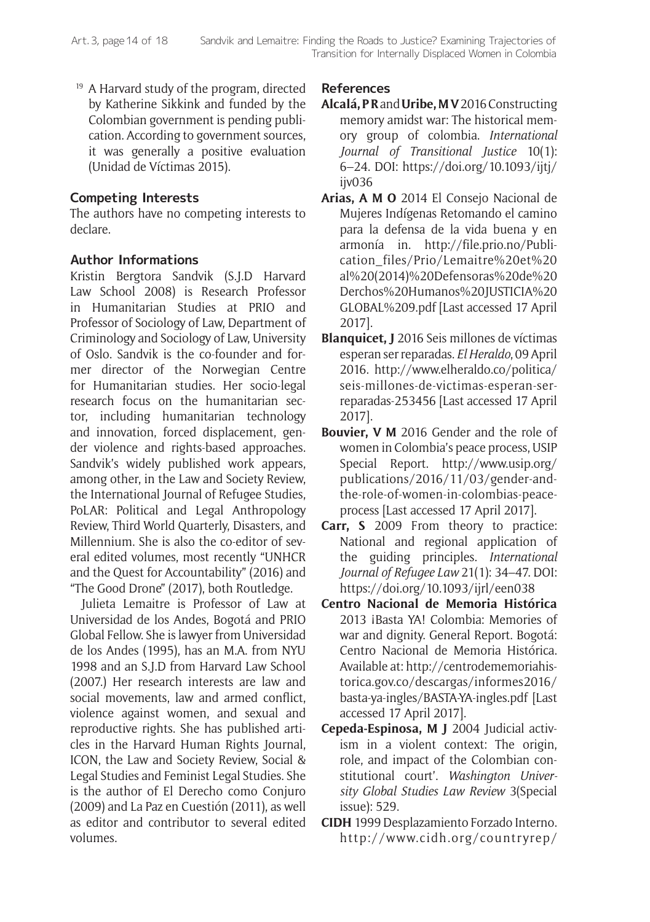<sup>19</sup> A Harvard study of the program, directed by Katherine Sikkink and funded by the Colombian government is pending publication. According to government sources, it was generally a positive evaluation (Unidad de Víctimas 2015).

## **Competing Interests**

The authors have no competing interests to declare.

# **Author Informations**

Kristin Bergtora Sandvik (S.J.D Harvard Law School 2008) is Research Professor in Humanitarian Studies at PRIO and Professor of Sociology of Law, Department of Criminology and Sociology of Law, University of Oslo. Sandvik is the co-founder and former director of the Norwegian Centre for Humanitarian studies. Her socio-legal research focus on the humanitarian sector, including humanitarian technology and innovation, forced displacement, gender violence and rights-based approaches. Sandvik's widely published work appears, among other, in the Law and Society Review, the International Journal of Refugee Studies, PoLAR: Political and Legal Anthropology Review, Third World Quarterly, Disasters, and Millennium. She is also the co-editor of several edited volumes, most recently "UNHCR and the Quest for Accountability" (2016) and "The Good Drone" (2017), both Routledge.

Julieta Lemaitre is Professor of Law at Universidad de los Andes, Bogotá and PRIO Global Fellow. She is lawyer from Universidad de los Andes (1995), has an M.A. from NYU 1998 and an S.J.D from Harvard Law School (2007.) Her research interests are law and social movements, law and armed conflict, violence against women, and sexual and reproductive rights. She has published articles in the Harvard Human Rights Journal, ICON, the Law and Society Review, Social & Legal Studies and Feminist Legal Studies. She is the author of El Derecho como Conjuro (2009) and La Paz en Cuestión (2011), as well as editor and contributor to several edited volumes.

## **References**

- **Alcalá, P R** and **Uribe, M V** 2016 Constructing memory amidst war: The historical memory group of colombia. *International Journal of Transitional Justice* 10(1): 6–24. DOI: [https://doi.org/10.1093/ijtj/](https://doi.org/10.1093/ijtj/ijv036) [ijv036](https://doi.org/10.1093/ijtj/ijv036)
- **Arias, A M O** 2014 El Consejo Nacional de Mujeres Indígenas Retomando el camino para la defensa de la vida buena y en armonía in. [http://file.prio.no/Publi](http://file.prio.no/Publication_files/Prio/Lemaitre%20et%20al%20(2014)%20Defensoras%20de%20Derchos%20Humanos%20JUSTICIA%20GLOBAL%209.pdf)[cation\\_files/Prio/Lemaitre%20et%20](http://file.prio.no/Publication_files/Prio/Lemaitre%20et%20al%20(2014)%20Defensoras%20de%20Derchos%20Humanos%20JUSTICIA%20GLOBAL%209.pdf) [al%20\(2014\)%20Defensoras%20de%20](http://file.prio.no/Publication_files/Prio/Lemaitre%20et%20al%20(2014)%20Defensoras%20de%20Derchos%20Humanos%20JUSTICIA%20GLOBAL%209.pdf) [Derchos%20Humanos%20JUSTICIA%20](http://file.prio.no/Publication_files/Prio/Lemaitre%20et%20al%20(2014)%20Defensoras%20de%20Derchos%20Humanos%20JUSTICIA%20GLOBAL%209.pdf) [GLOBAL%209.pdf](http://file.prio.no/Publication_files/Prio/Lemaitre%20et%20al%20(2014)%20Defensoras%20de%20Derchos%20Humanos%20JUSTICIA%20GLOBAL%209.pdf) [Last accessed 17 April 2017].
- **Blanquicet, J** 2016 Seis millones de víctimas esperan ser reparadas. *El Heraldo*, 09 April 2016. [http://www.elheraldo.co/politica/](http://www.elheraldo.co/politica/seis-millones-de-victimas-esperan-ser-reparadas-253456) [seis-millones-de-victimas-esperan-ser](http://www.elheraldo.co/politica/seis-millones-de-victimas-esperan-ser-reparadas-253456)[reparadas-253456](http://www.elheraldo.co/politica/seis-millones-de-victimas-esperan-ser-reparadas-253456) [Last accessed 17 April 2017].
- **Bouvier, V M** 2016 Gender and the role of women in Colombia's peace process, USIP Special Report. [http://www.usip.org/](http://www.usip.org/publications/2016/11/03/gender-and-the-role-of-women-in-colombias-peace-process) [publications/2016/11/03/gender-and](http://www.usip.org/publications/2016/11/03/gender-and-the-role-of-women-in-colombias-peace-process)[the-role-of-women-in-colombias-peace](http://www.usip.org/publications/2016/11/03/gender-and-the-role-of-women-in-colombias-peace-process)[process](http://www.usip.org/publications/2016/11/03/gender-and-the-role-of-women-in-colombias-peace-process) [Last accessed 17 April 2017].
- **Carr, S** 2009 From theory to practice: National and regional application of the guiding principles. *International Journal of Refugee Law* 21(1): 34–47. DOI: <https://doi.org/10.1093/ijrl/een038>
- **Centro Nacional de Memoria Histórica** 2013 ¡Basta YA! Colombia: Memories of war and dignity. General Report. Bogotá: Centro Nacional de Memoria Histórica. Available at: [http://centrodememoriahis](http://centrodememoriahistorica.gov.co/descargas/informes2016/basta-ya-ingles/BASTA-YA-ingles.pdf)[torica.gov.co/descargas/informes2016/](http://centrodememoriahistorica.gov.co/descargas/informes2016/basta-ya-ingles/BASTA-YA-ingles.pdf) [basta-ya-ingles/BASTA-YA-ingles.pdf](http://centrodememoriahistorica.gov.co/descargas/informes2016/basta-ya-ingles/BASTA-YA-ingles.pdf) [Last accessed 17 April 2017].
- **Cepeda-Espinosa, M J** 2004 Judicial activism in a violent context: The origin, role, and impact of the Colombian constitutional court'. *Washington University Global Studies Law Review* 3(Special issue): 529.
- **CIDH** 1999 Desplazamiento Forzado Interno. [http://www.cidh.org/countryrep/](http://www.cidh.org/countryrep/colom99sp/capitulo-6.htm)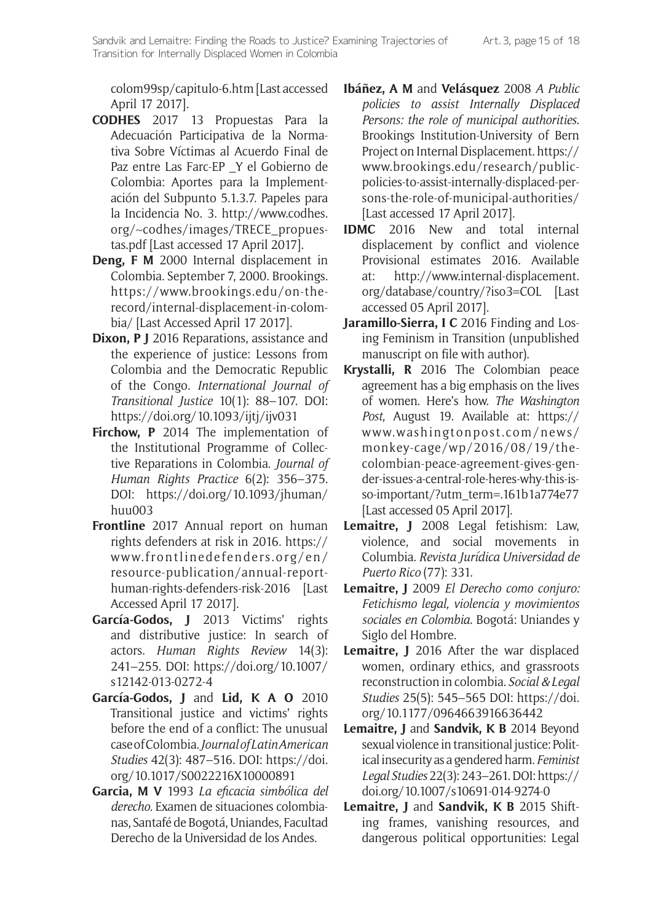[colom99sp/capitulo-6.htm](http://www.cidh.org/countryrep/colom99sp/capitulo-6.htm) [Last accessed April 17 2017].

- **CODHES** 2017 13 Propuestas Para la Adecuación Participativa de la Normativa Sobre Víctimas al Acuerdo Final de Paz entre Las Farc-EP \_Y el Gobierno de Colombia: Aportes para la Implementación del Subpunto 5.1.3.7. Papeles para la Incidencia No. 3. [http://www.codhes.](http://www.codhes.org/~codhes/images/TRECE_propuestas.pdf) [org/~codhes/images/TRECE\\_propues](http://www.codhes.org/~codhes/images/TRECE_propuestas.pdf)[tas.pdf](http://www.codhes.org/~codhes/images/TRECE_propuestas.pdf) [Last accessed 17 April 2017].
- **Deng, F M** 2000 Internal displacement in Colombia. September 7, 2000. Brookings. [https://www.brookings.edu/on-the](https://www.brookings.edu/on-the-record/internal-displacement-in-colombia/)[record/internal-displacement-in-colom](https://www.brookings.edu/on-the-record/internal-displacement-in-colombia/)[bia/](https://www.brookings.edu/on-the-record/internal-displacement-in-colombia/) [Last Accessed April 17 2017].
- **Dixon, P J** 2016 Reparations, assistance and the experience of justice: Lessons from Colombia and the Democratic Republic of the Congo. *International Journal of Transitional Justice* 10(1): 88–107. DOI: <https://doi.org/10.1093/ijtj/ijv031>
- **Firchow, P** 2014 The implementation of the Institutional Programme of Collective Reparations in Colombia. *Journal of Human Rights Practice* 6(2): 356–375. DOI: [https://doi.org/10.1093/jhuman/](https://doi.org/10.1093/jhuman/huu003) [huu003](https://doi.org/10.1093/jhuman/huu003)
- **Frontline** 2017 Annual report on human rights defenders at risk in 2016. [https://](https://www.frontlinedefenders.org/en/resource-publication/annual-report-human-rights-defenders-risk-2016) [www.frontlinedefenders.org/en/](https://www.frontlinedefenders.org/en/resource-publication/annual-report-human-rights-defenders-risk-2016) [resource-publication/annual-report](https://www.frontlinedefenders.org/en/resource-publication/annual-report-human-rights-defenders-risk-2016)[human-rights-defenders-risk-2016](https://www.frontlinedefenders.org/en/resource-publication/annual-report-human-rights-defenders-risk-2016) [Last Accessed April 17 2017].
- **García-Godos, J** 2013 Victims' rights and distributive justice: In search of actors. *Human Rights Review* 14(3): 241–255. DOI: [https://doi.org/10.1007/](https://doi.org/10.1007/s12142-013-0272-4) [s12142-013-0272-4](https://doi.org/10.1007/s12142-013-0272-4)
- **García-Godos, J** and **Lid, K A O** 2010 Transitional justice and victims' rights before the end of a conflict: The unusual case of Colombia. *Journal of Latin American Studies* 42(3): 487–516. DOI: [https://doi.](https://doi.org/10.1017/S0022216X10000891) [org/10.1017/S0022216X10000891](https://doi.org/10.1017/S0022216X10000891)
- **Garcia, M V** 1993 *La eficacia simbólica del derecho.* Examen de situaciones colombianas, Santafé de Bogotá, Uniandes, Facultad Derecho de la Universidad de los Andes.
- **Ibáñez, A M** and **Velásquez** 2008 *A Public policies to assist Internally Displaced Persons: the role of municipal authorities*. Brookings Institution-University of Bern Project on Internal Displacement. [https://](https://www.brookings.edu/research/public-policies-to-assist-internally-displaced-persons-the-role-of-municipal-authorities/) [www.brookings.edu/research/public](https://www.brookings.edu/research/public-policies-to-assist-internally-displaced-persons-the-role-of-municipal-authorities/)[policies-to-assist-internally-displaced-per](https://www.brookings.edu/research/public-policies-to-assist-internally-displaced-persons-the-role-of-municipal-authorities/)[sons-the-role-of-municipal-authorities/](https://www.brookings.edu/research/public-policies-to-assist-internally-displaced-persons-the-role-of-municipal-authorities/) [Last accessed 17 April 2017].
- **IDMC** 2016 New and total internal displacement by conflict and violence Provisional estimates 2016. Available at: [http://www.internal-displacement.](http://www.internal-displacement.org/database/country/?iso3=COL) [org/database/country/?iso3=COL](http://www.internal-displacement.org/database/country/?iso3=COL) [Last accessed 05 April 2017].
- **Jaramillo-Sierra, I C** 2016 Finding and Losing Feminism in Transition (unpublished manuscript on file with author).
- **Krystalli, R** 2016 The Colombian peace agreement has a big emphasis on the lives of women. Here's how. *The Washington Post*, August 19. Available at: [https://](https://www.washingtonpost.com/news/monkey-cage/wp/2016/08/19/the-colombian-peace-agreement-gives-gender-issues-a-central-role-heres-why-this-is-so-important/?utm_term=.161b1a774e77) [www.washingtonpost.com/news/](https://www.washingtonpost.com/news/monkey-cage/wp/2016/08/19/the-colombian-peace-agreement-gives-gender-issues-a-central-role-heres-why-this-is-so-important/?utm_term=.161b1a774e77) [monkey-cage/wp/2016/08/19/the](https://www.washingtonpost.com/news/monkey-cage/wp/2016/08/19/the-colombian-peace-agreement-gives-gender-issues-a-central-role-heres-why-this-is-so-important/?utm_term=.161b1a774e77)[colombian-peace-agreement-gives-gen](https://www.washingtonpost.com/news/monkey-cage/wp/2016/08/19/the-colombian-peace-agreement-gives-gender-issues-a-central-role-heres-why-this-is-so-important/?utm_term=.161b1a774e77)[der-issues-a-central-role-heres-why-this-is](https://www.washingtonpost.com/news/monkey-cage/wp/2016/08/19/the-colombian-peace-agreement-gives-gender-issues-a-central-role-heres-why-this-is-so-important/?utm_term=.161b1a774e77)[so-important/?utm\\_term=.161b1a774e77](https://www.washingtonpost.com/news/monkey-cage/wp/2016/08/19/the-colombian-peace-agreement-gives-gender-issues-a-central-role-heres-why-this-is-so-important/?utm_term=.161b1a774e77) [Last accessed 05 April 2017].
- **Lemaitre, J** 2008 Legal fetishism: Law, violence, and social movements in Columbia. *Revista Jurídica Universidad de Puerto Rico* (77): 331.
- **Lemaitre, J** 2009 *El Derecho como conjuro: Fetichismo legal, violencia y movimientos sociales en Colombia*. Bogotá: Uniandes y Siglo del Hombre.
- **Lemaitre, J** 2016 After the war displaced women, ordinary ethics, and grassroots reconstruction in colombia. *Social & Legal Studies* 25(5): 545–565 DOI: [https://doi.](https://doi.org/10.1177/0964663916636442) [org/10.1177/0964663916636442](https://doi.org/10.1177/0964663916636442)
- **Lemaitre, J** and **Sandvik, K B** 2014 Beyond sexual violence in transitional justice: Political insecurity as a gendered harm. *Feminist Legal Studies* 22(3): 243–261. DOI: [https://](https://doi.org/10.1007/s10691-014-9274-0) [doi.org/10.1007/s10691-014-9274-0](https://doi.org/10.1007/s10691-014-9274-0)
- **Lemaitre, J** and **Sandvik, K B** 2015 Shifting frames, vanishing resources, and dangerous political opportunities: Legal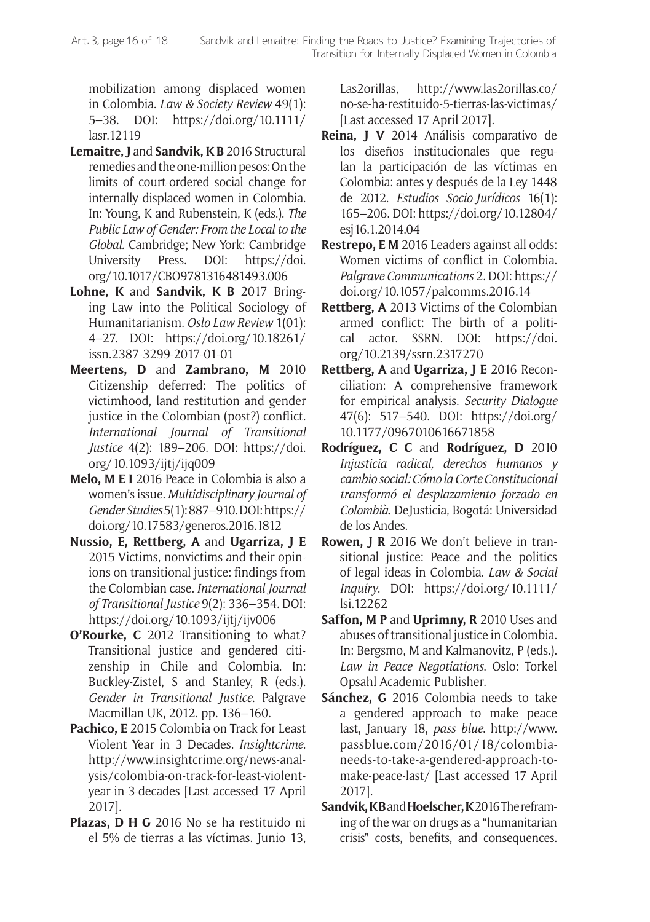mobilization among displaced women in Colombia. *Law & Society Review* 49(1): 5–38. DOI: [https://doi.org/10.1111/](https://doi.org/10.1111/lasr.12119) [lasr.12119](https://doi.org/10.1111/lasr.12119)

- **Lemaitre, J** and **Sandvik, K B** 2016 Structural remedies and the one-million pesos: On the limits of court-ordered social change for internally displaced women in Colombia. In: Young, K and Rubenstein, K (eds.). *The Public Law of Gender: From the Local to the Global.* Cambridge; New York: Cambridge University Press. DOI: [https://doi.](https://doi.org/10.1017/CBO9781316481493.006) [org/10.1017/CBO9781316481493.006](https://doi.org/10.1017/CBO9781316481493.006)
- **Lohne, K** and **Sandvik, K B** 2017 Bringing Law into the Political Sociology of Humanitarianism. *Oslo Law Review* 1(01): 4–27. DOI: [https://doi.org/10.18261/](https://doi.org/10.18261/issn.2387-3299-2017-01-01) [issn.2387-3299-2017-01-01](https://doi.org/10.18261/issn.2387-3299-2017-01-01)
- **Meertens, D** and **Zambrano, M** 2010 Citizenship deferred: The politics of victimhood, land restitution and gender justice in the Colombian (post?) conflict. *International Journal of Transitional Justice* 4(2): 189–206. DOI: [https://doi.](https://doi.org/10.1093/ijtj/ijq009) [org/10.1093/ijtj/ijq009](https://doi.org/10.1093/ijtj/ijq009)
- **Melo, M E I** 2016 Peace in Colombia is also a women's issue. *Multidisciplinary Journal of Gender Studies* 5(1): 887–910. DOI: [https://](https://doi.org/10.17583/generos.2016.1812) [doi.org/10.17583/generos.2016.1812](https://doi.org/10.17583/generos.2016.1812)
- **Nussio, E, Rettberg, A** and **Ugarriza, J E** 2015 Victims, nonvictims and their opinions on transitional justice: findings from the Colombian case. *International Journal of Transitional Justice* 9(2): 336–354. DOI: <https://doi.org/10.1093/ijtj/ijv006>
- **O'Rourke, C** 2012 Transitioning to what? Transitional justice and gendered citizenship in Chile and Colombia. In: Buckley-Zistel, S and Stanley, R (eds.). *Gender in Transitional Justice*. Palgrave Macmillan UK, 2012. pp. 136–160.
- **Pachico, E** 2015 Colombia on Track for Least Violent Year in 3 Decades. *Insightcrime*. [http://www.insightcrime.org/news-anal](http://www.insightcrime.org/news-analysis/colombia-on-track-for-least-violent-year-in-3-decades)[ysis/colombia-on-track-for-least-violent](http://www.insightcrime.org/news-analysis/colombia-on-track-for-least-violent-year-in-3-decades)[year-in-3-decades](http://www.insightcrime.org/news-analysis/colombia-on-track-for-least-violent-year-in-3-decades) [Last accessed 17 April 2017].
- **Plazas, D H G** 2016 No se ha restituido ni el 5% de tierras a las víctimas. Junio 13,

Las2orillas, [http://www.las2orillas.co/](http://www.las2orillas.co/no-se-ha-restituido-5-tierras-las-victimas/) [no-se-ha-restituido-5-tierras-las-victimas/](http://www.las2orillas.co/no-se-ha-restituido-5-tierras-las-victimas/) [Last accessed 17 April 2017].

- **Reina, J V** 2014 Análisis comparativo de los diseños institucionales que regulan la participación de las víctimas en Colombia: antes y después de la Ley 1448 de 2012. *Estudios Socio-Jurídicos* 16(1): 165–206. DOI: [https://doi.org/10.12804/](https://doi.org/10.12804/esj16.1.2014.04) [esj16.1.2014.04](https://doi.org/10.12804/esj16.1.2014.04)
- **Restrepo, E M** 2016 Leaders against all odds: Women victims of conflict in Colombia. *Palgrave Communications* 2. DOI: [https://](https://doi.org/10.1057/palcomms.2016.14) [doi.org/10.1057/palcomms.2016.14](https://doi.org/10.1057/palcomms.2016.14)
- **Rettberg, A** 2013 Victims of the Colombian armed conflict: The birth of a political actor. SSRN. DOI: [https://doi.](https://doi.org/10.2139/ssrn.2317270) [org/10.2139/ssrn.2317270](https://doi.org/10.2139/ssrn.2317270)
- **Rettberg, A** and **Ugarriza, J E** 2016 Reconciliation: A comprehensive framework for empirical analysis. *Security Dialogue* 47(6): 517–540. DOI: [https://doi.org/](https://doi.org/10.1177/0967010616671858) [10.1177/0967010616671858](https://doi.org/10.1177/0967010616671858)
- **Rodríguez, C C** and **Rodríguez, D** 2010 *Injusticia radical, derechos humanos y cambio social: Cómo la Corte Constitucional transformó el desplazamiento forzado en Colombià*. DeJusticia, Bogotá: Universidad de los Andes.
- **Rowen, J R** 2016 We don't believe in transitional justice: Peace and the politics of legal ideas in Colombia. *Law & Social Inquiry*. DOI: [https://doi.org/10.1111/](https://doi.org/10.1111/lsi.12262) [lsi.12262](https://doi.org/10.1111/lsi.12262)
- **Saffon, M P** and **Uprimny, R** 2010 Uses and abuses of transitional justice in Colombia. In: Bergsmo, M and Kalmanovitz, P (eds.). *Law in Peace Negotiations*. Oslo: Torkel Opsahl Academic Publisher.
- **Sánchez, G** 2016 Colombia needs to take a gendered approach to make peace last, January 18, *pass blue*. [http://www.](http://www.passblue.com/2016/01/18/colombia-needs-to-take-a-gendered-approach-to-make-peace-last/) [passblue.com/2016/01/18/colombia](http://www.passblue.com/2016/01/18/colombia-needs-to-take-a-gendered-approach-to-make-peace-last/)[needs-to-take-a-gendered-approach-to](http://www.passblue.com/2016/01/18/colombia-needs-to-take-a-gendered-approach-to-make-peace-last/)[make-peace-last/](http://www.passblue.com/2016/01/18/colombia-needs-to-take-a-gendered-approach-to-make-peace-last/) [Last accessed 17 April 2017].
- **Sandvik, K B** and **Hoelscher, K** 2016 The reframing of the war on drugs as a "humanitarian crisis" costs, benefits, and consequences.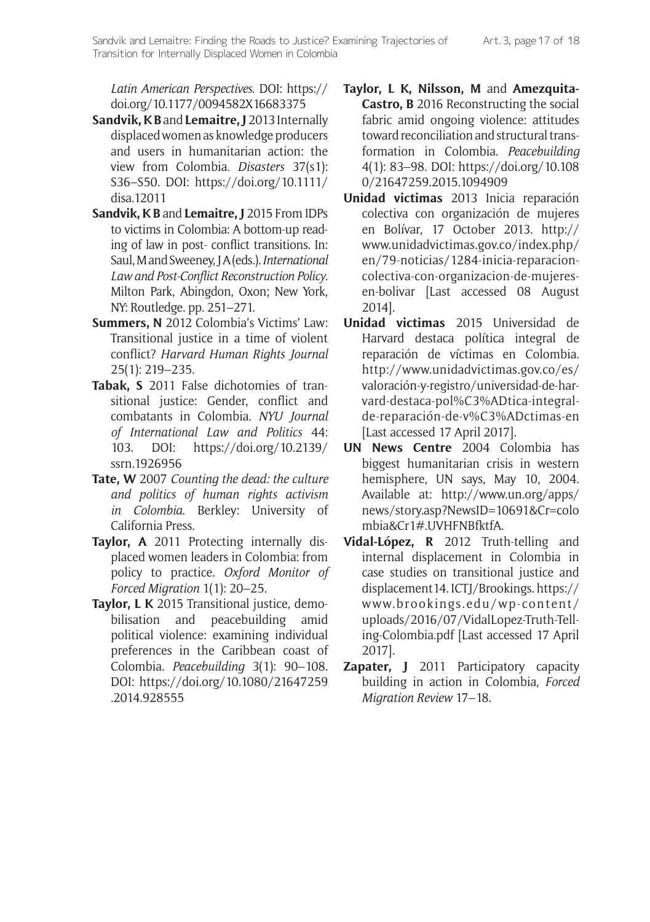*Latin American Perspectives*. DOI: [https://](https://doi.org/10.1177/0094582X16683375) [doi.org/10.1177/0094582X16683375](https://doi.org/10.1177/0094582X16683375)

- **Sandvik, K B** and **Lemaitre, J** 2013 Internally displaced women as knowledge producers and users in humanitarian action: the view from Colombia. *Disasters* 37(s1): S36–S50. DOI: [https://doi.org/10.1111/](https://doi.org/10.1111/disa.12011) [disa.12011](https://doi.org/10.1111/disa.12011)
- **Sandvik, K B** and **Lemaitre, J** 2015 From IDPs to victims in Colombia: A bottom-up reading of law in post- conflict transitions. In: Saul, M and Sweeney, J A (eds.). *International Law and Post-Conflict Reconstruction Policy*. Milton Park, Abingdon, Oxon; New York, NY: Routledge. pp. 251–271.
- **Summers, N** 2012 Colombia's Victims' Law: Transitional justice in a time of violent conflict? *Harvard Human Rights Journal* 25(1): 219–235.
- **Tabak, S** 2011 False dichotomies of transitional justice: Gender, conflict and combatants in Colombia. *NYU Journal of International Law and Politics* 44: 103. DOI: [https://doi.org/10.2139/](https://doi.org/10.2139/ssrn.1926956) [ssrn.1926956](https://doi.org/10.2139/ssrn.1926956)
- **Tate, W** 2007 *Counting the dead: the culture and politics of human rights activism in Colombia*. Berkley: University of California Press.
- **Taylor, A** 2011 Protecting internally displaced women leaders in Colombia: from policy to practice. *Oxford Monitor of Forced Migration* 1(1): 20–25.
- **Taylor, L K** 2015 Transitional justice, demobilisation and peacebuilding amid political violence: examining individual preferences in the Caribbean coast of Colombia. *Peacebuilding* 3(1): 90–108. DOI: [https://doi.org/10.1080/21647259](https://doi.org/10.1080/21647259.2014.928555) [.2014.928555](https://doi.org/10.1080/21647259.2014.928555)
- **Taylor, L K, Nilsson, M** and **Amezquita-Castro, B** 2016 Reconstructing the social fabric amid ongoing violence: attitudes toward reconciliation and structural transformation in Colombia. *Peacebuilding* 4(1): 83–98. DOI: [https://doi.org/10.108](https://doi.org/10.1080/21647259.2015.1094909) [0/21647259.2015.1094909](https://doi.org/10.1080/21647259.2015.1094909)
- **Unidad victimas** 2013 Inicia reparación colectiva con organización de mujeres en Bolívar, 17 October 2013. [http://](http://www.unidadvictimas.gov.co/index.php/en/79-noticias/1284-inicia-reparacion-colectiva-con-organizacion-de-mujeres-en-bolivar) [www.unidadvictimas.gov.co/index.php/](http://www.unidadvictimas.gov.co/index.php/en/79-noticias/1284-inicia-reparacion-colectiva-con-organizacion-de-mujeres-en-bolivar) [en/79-noticias/1284-inicia-reparacion](http://www.unidadvictimas.gov.co/index.php/en/79-noticias/1284-inicia-reparacion-colectiva-con-organizacion-de-mujeres-en-bolivar)[colectiva-con-organizacion-de-mujeres](http://www.unidadvictimas.gov.co/index.php/en/79-noticias/1284-inicia-reparacion-colectiva-con-organizacion-de-mujeres-en-bolivar)[en-bolivar](http://www.unidadvictimas.gov.co/index.php/en/79-noticias/1284-inicia-reparacion-colectiva-con-organizacion-de-mujeres-en-bolivar) [Last accessed 08 August 2014].
- **Unidad victimas** 2015 Universidad de Harvard destaca política integral de reparación de víctimas en Colombia. [http://www.unidadvictimas.gov.co/es/](http://www.unidadvictimas.gov.co/es/valoración-y-registro/universidad-de-harvard-destaca-pol%C3%ADtica-integral-de-reparación-de-v%C3%ADctimas-en) [valoración-y-registro/universidad-de-har](http://www.unidadvictimas.gov.co/es/valoración-y-registro/universidad-de-harvard-destaca-pol%C3%ADtica-integral-de-reparación-de-v%C3%ADctimas-en)[vard-destaca-pol%C3%ADtica-integral](http://www.unidadvictimas.gov.co/es/valoración-y-registro/universidad-de-harvard-destaca-pol%C3%ADtica-integral-de-reparación-de-v%C3%ADctimas-en)[de-reparación-de-v%C3%ADctimas-en](http://www.unidadvictimas.gov.co/es/valoración-y-registro/universidad-de-harvard-destaca-pol%C3%ADtica-integral-de-reparación-de-v%C3%ADctimas-en) [Last accessed 17 April 2017].
- **UN News Centre** 2004 Colombia has biggest humanitarian crisis in western hemisphere, UN says, May 10, 2004. Available at: [http://www.un.org/apps/](http://www.un.org/apps/news/story.asp?NewsID=10691&Cr=colombia&Cr1#.UVHFNBfktfA) [news/story.asp?NewsID=10691&Cr=colo](http://www.un.org/apps/news/story.asp?NewsID=10691&Cr=colombia&Cr1#.UVHFNBfktfA) [mbia&Cr1#.UVHFNBfktfA](http://www.un.org/apps/news/story.asp?NewsID=10691&Cr=colombia&Cr1#.UVHFNBfktfA).
- **Vidal-López, R** 2012 Truth-telling and internal displacement in Colombia in case studies on transitional justice and displacement14. ICTJ/Brookings. [https://](https://www.brookings.edu/wp-content/uploads/2016/07/VidalLopez-Truth-Telling-Colombia.pdf) [www.brookings.edu/wp-content/](https://www.brookings.edu/wp-content/uploads/2016/07/VidalLopez-Truth-Telling-Colombia.pdf) [uploads/2016/07/VidalLopez-Truth-Tell](https://www.brookings.edu/wp-content/uploads/2016/07/VidalLopez-Truth-Telling-Colombia.pdf)[ing-Colombia.pdf](https://www.brookings.edu/wp-content/uploads/2016/07/VidalLopez-Truth-Telling-Colombia.pdf) [Last accessed 17 April 2017].
- **Zapater, J** 2011 Participatory capacity building in action in Colombia, *Forced Migration Review* 17–18.